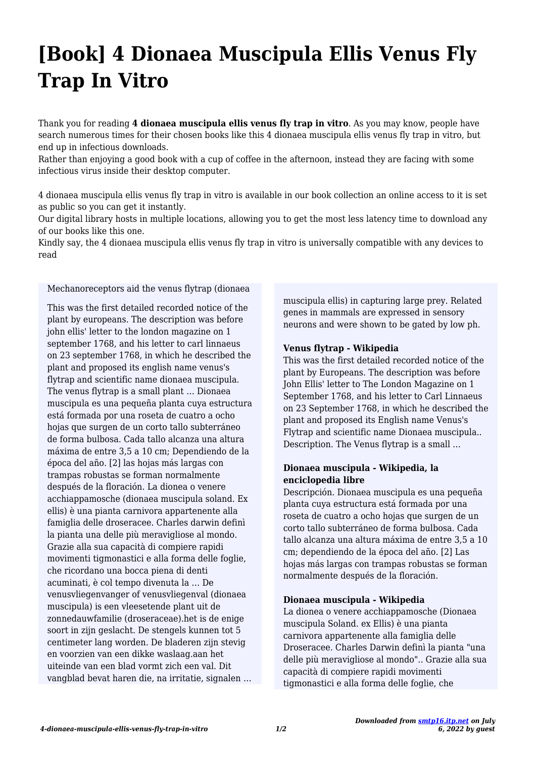# **[Book] 4 Dionaea Muscipula Ellis Venus Fly Trap In Vitro**

Thank you for reading **4 dionaea muscipula ellis venus fly trap in vitro**. As you may know, people have search numerous times for their chosen books like this 4 dionaea muscipula ellis venus fly trap in vitro, but end up in infectious downloads.

Rather than enjoying a good book with a cup of coffee in the afternoon, instead they are facing with some infectious virus inside their desktop computer.

4 dionaea muscipula ellis venus fly trap in vitro is available in our book collection an online access to it is set as public so you can get it instantly.

Our digital library hosts in multiple locations, allowing you to get the most less latency time to download any of our books like this one.

Kindly say, the 4 dionaea muscipula ellis venus fly trap in vitro is universally compatible with any devices to read

Mechanoreceptors aid the venus flytrap (dionaea

This was the first detailed recorded notice of the plant by europeans. The description was before john ellis' letter to the london magazine on 1 september 1768, and his letter to carl linnaeus on 23 september 1768, in which he described the plant and proposed its english name venus's flytrap and scientific name dionaea muscipula. The venus flytrap is a small plant … Dionaea muscipula es una pequeña planta cuya estructura está formada por una roseta de cuatro a ocho hojas que surgen de un corto tallo subterráneo de forma bulbosa. Cada tallo alcanza una altura máxima de entre 3,5 a 10 cm; Dependiendo de la época del año. [2] las hojas más largas con trampas robustas se forman normalmente después de la floración. La dionea o venere acchiappamosche (dionaea muscipula soland. Ex ellis) è una pianta carnivora appartenente alla famiglia delle droseracee. Charles darwin definì la pianta una delle più meravigliose al mondo. Grazie alla sua capacità di compiere rapidi movimenti tigmonastici e alla forma delle foglie, che ricordano una bocca piena di denti acuminati, è col tempo divenuta la … De venusvliegenvanger of venusvliegenval (dionaea muscipula) is een vleesetende plant uit de zonnedauwfamilie (droseraceae).het is de enige soort in zijn geslacht. De stengels kunnen tot 5 centimeter lang worden. De bladeren zijn stevig en voorzien van een dikke waslaag.aan het uiteinde van een blad vormt zich een val. Dit vangblad bevat haren die, na irritatie, signalen … muscipula ellis) in capturing large prey. Related genes in mammals are expressed in sensory neurons and were shown to be gated by low ph.

## **Venus flytrap - Wikipedia**

This was the first detailed recorded notice of the plant by Europeans. The description was before John Ellis' letter to The London Magazine on 1 September 1768, and his letter to Carl Linnaeus on 23 September 1768, in which he described the plant and proposed its English name Venus's Flytrap and scientific name Dionaea muscipula.. Description. The Venus flytrap is a small …

# **Dionaea muscipula - Wikipedia, la enciclopedia libre**

Descripción. Dionaea muscipula es una pequeña planta cuya estructura está formada por una roseta de cuatro a ocho hojas que surgen de un corto tallo subterráneo de forma bulbosa. Cada tallo alcanza una altura máxima de entre 3,5 a 10 cm; dependiendo de la época del año. [2] Las hojas más largas con trampas robustas se forman normalmente después de la floración.

## **Dionaea muscipula - Wikipedia**

La dionea o venere acchiappamosche (Dionaea muscipula Soland. ex Ellis) è una pianta carnivora appartenente alla famiglia delle Droseracee. Charles Darwin definì la pianta "una delle più meravigliose al mondo".. Grazie alla sua capacità di compiere rapidi movimenti tigmonastici e alla forma delle foglie, che